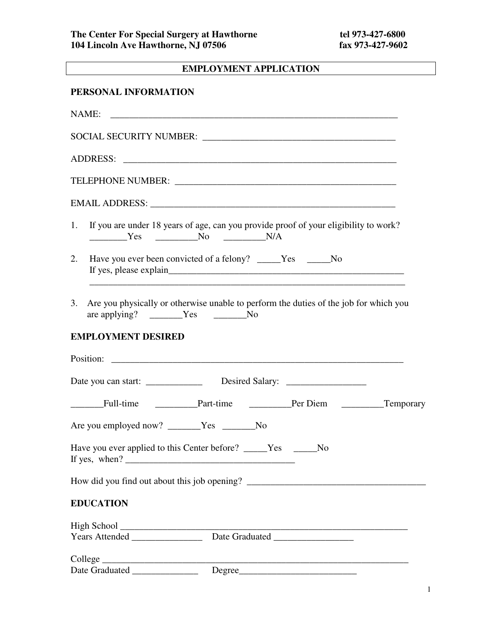## **EMPLOYMENT APPLICATION**

## **PERSONAL INFORMATION**

| NAME:                                    |                                                                                                      |  |  |
|------------------------------------------|------------------------------------------------------------------------------------------------------|--|--|
|                                          |                                                                                                      |  |  |
|                                          |                                                                                                      |  |  |
|                                          |                                                                                                      |  |  |
|                                          |                                                                                                      |  |  |
| 1.                                       | If you are under 18 years of age, can you provide proof of your eligibility to work?<br>$Yes$ No N/A |  |  |
| 2.                                       | Have you ever been convicted of a felony? _____Yes _____No                                           |  |  |
| 3.<br>are applying? _______Yes _______No | Are you physically or otherwise unable to perform the duties of the job for which you                |  |  |
| <b>EMPLOYMENT DESIRED</b>                |                                                                                                      |  |  |
|                                          |                                                                                                      |  |  |
|                                          | Date you can start: _________________ Desired Salary: __________________________                     |  |  |
|                                          | Full-time Part-time Part-time Per Diem Temporary                                                     |  |  |
| Are you employed now? ______Yes ______No |                                                                                                      |  |  |
|                                          | Have you ever applied to this Center before? _____Yes _____No                                        |  |  |
|                                          |                                                                                                      |  |  |
| <b>EDUCATION</b>                         |                                                                                                      |  |  |
|                                          |                                                                                                      |  |  |
|                                          |                                                                                                      |  |  |
|                                          | Date Graduated Degree                                                                                |  |  |
|                                          |                                                                                                      |  |  |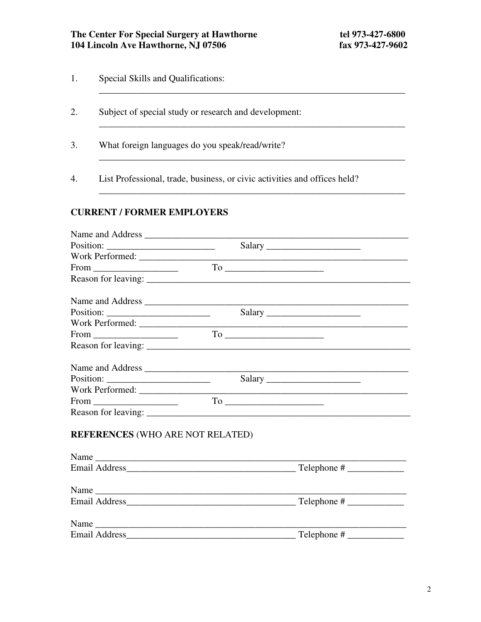- $1.$ Special Skills and Qualifications:
- 2. Subject of special study or research and development:
- $3.$ What foreign languages do you speak/read/write?
- $4.$ List Professional, trade, business, or civic activities and offices held?

## **CURRENT / FORMER EMPLOYERS**

|                                         | Salary |
|-----------------------------------------|--------|
|                                         |        |
|                                         |        |
|                                         |        |
|                                         |        |
|                                         |        |
|                                         |        |
|                                         |        |
|                                         |        |
|                                         |        |
| <b>REFERENCES (WHO ARE NOT RELATED)</b> |        |
|                                         |        |
| Name                                    |        |
|                                         |        |
|                                         |        |
| Name                                    |        |
|                                         |        |
|                                         |        |
|                                         |        |
|                                         |        |